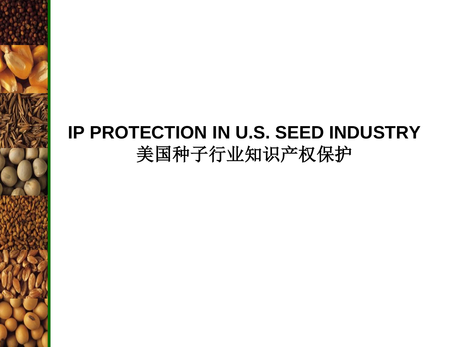## **IP PROTECTION IN U.S. SEED INDUSTRY** 美国种子行业知识产权保护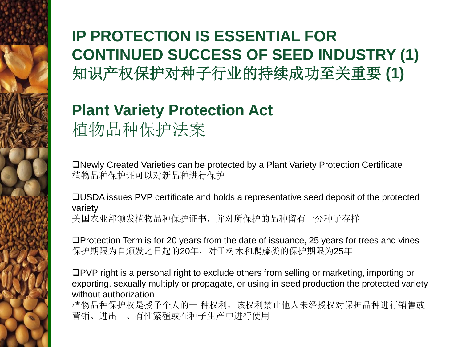### **IP PROTECTION IS ESSENTIAL FOR CONTINUED SUCCESS OF SEED INDUSTRY (1)** 知识产权保护对种子行业的持续成功至关重要 **(1)**

#### **Plant Variety Protection Act** 植物品种保护法案

Newly Created Varieties can be protected by a Plant Variety Protection Certificate 植物品种保护证可以对新品种进行保护

USDA issues PVP certificate and holds a representative seed deposit of the protected variety 美国农业部颁发植物品种保护证书,并对所保护的品种留有一分种子存样

Protection Term is for 20 years from the date of issuance, 25 years for trees and vines 保护期限为自颁发之日起的20年,对于树木和爬藤类的保护期限为25年

PVP right is a personal right to exclude others from selling or marketing, importing or exporting, sexually multiply or propagate, or using in seed production the protected variety without authorization

植物品种保护权是授予个人的一 种权利,该权利禁止他人未经授权对保护品种进行销售或 营销、进出口、有性繁殖或在种子生产中进行使用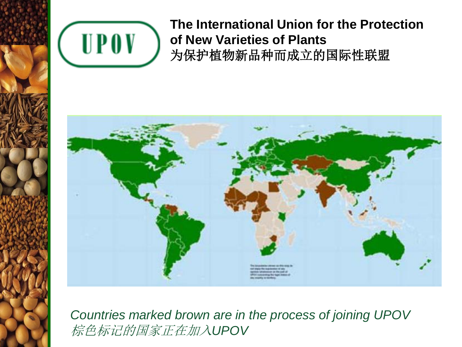

#### **The International Union for the Protection of New Varieties of Plants**  为保护植物新品种而成立的国际性联盟



*Countries marked brown are in the process of joining UPOV* 棕色标记的国家正在加入*UPOV*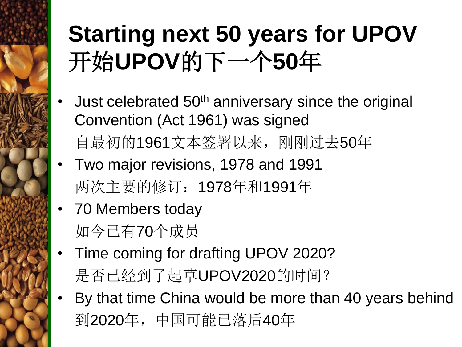# **Starting next 50 years for UPOV** 开始**UPOV**的下一个**50**年

- Just celebrated 50<sup>th</sup> anniversary since the original Convention (Act 1961) was signed 自最初的1961文本签署以来,刚刚过去50年
- Two major revisions, 1978 and 1991 两次主要的修订:1978年和1991年
- 70 Members today 如今已有70个成员
- Time coming for drafting UPOV 2020? 是否已经到了起草UPOV2020的时间?
- By that time China would be more than 40 years behind 到2020年,中国可能已落后40年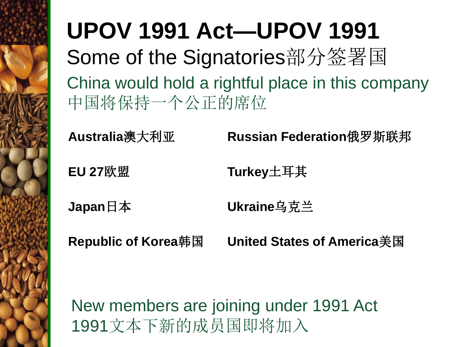## **UPOV 1991 Act—UPOV 1991** Some of the Signatories部分签署国 China would hold a rightful place in this company 中国将保持一个公正的席位

**Australia**澳大利亚 **Russian Federation**俄罗斯联邦

**EU 27**欧盟 **Turkey**土耳其

**Japan**日本 **Ukraine**乌克兰

**Republic of Korea**韩国 **United States of America**美国

New members are joining under 1991 Act 1991文本下新的成员国即将加入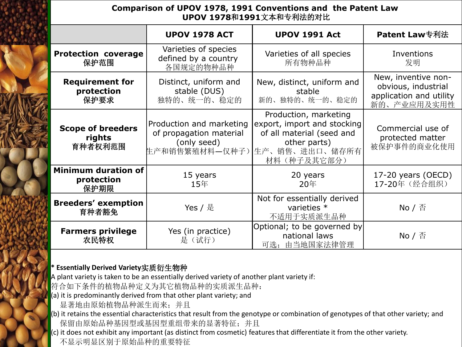#### **Comparison of UPOV 1978, 1991 Conventions and the Patent Law UPOV 1978**和**1991**文本和专利法的对比

|                                                  | <b>UPOV 1978 ACT</b>                                               | <b>UPOV 1991 Act</b>                                                                                                                              | <b>Patent Law</b> 专利法                                                                |
|--------------------------------------------------|--------------------------------------------------------------------|---------------------------------------------------------------------------------------------------------------------------------------------------|--------------------------------------------------------------------------------------|
| <b>Protection coverage</b><br>保护范围               | Varieties of species<br>defined by a country<br>各国规定的物种品种          | Varieties of all species<br>所有物种品种                                                                                                                | Inventions<br>发明                                                                     |
| <b>Requirement for</b><br>protection<br>保护要求     | Distinct, uniform and<br>stable (DUS)<br>独特的、统一的、稳定的               | New, distinct, uniform and<br>stable<br>新的、独特的、统一的、稳定的                                                                                            | New, inventive non-<br>obvious, industrial<br>application and utility<br>新的、产业应用及实用性 |
| <b>Scope of breeders</b><br>rights<br>育种者权利范围    | Production and marketing<br>of propagation material<br>(only seed) | Production, marketing<br>export, import and stocking<br>of all material (seed and<br>other parts)<br>生产和销售繁殖材料—仅种子) 生产、销售、进出口、储存所有<br>材料(种子及其它部分) | Commercial use of<br>protected matter<br>被保护事件的商业化使用                                 |
| <b>Minimum duration of</b><br>protection<br>保护期限 | 15 years<br>15年                                                    | 20 years<br>20年                                                                                                                                   | 17-20 years (OECD)<br>17-20年 (经合组织)                                                  |
| <b>Breeders' exemption</b><br>育种者豁免              | Yes / 是                                                            | Not for essentially derived<br>varieties *<br>不适用于实质派生品种                                                                                          | $No /$ $\overline{\oplus}$                                                           |
| <b>Farmers privilege</b><br>农民特权                 | Yes (in practice)<br>是(试行)                                         | Optional; to be governed by<br>national laws<br>可选;由当地国家法律管理                                                                                      | $\mathsf{No}$ / 否                                                                    |

#### **\* Essentially Derived Variety**实质衍生物种

A plant variety is taken to be an essentially derived variety of another plant variety if:

符合如下条件的植物品种定义为其它植物品种的实质派生品种:

(a) it is predominantly derived from that other plant variety; and

显著地由原始植物品种派生而来;并且

(b) it retains the essential characteristics that result from the genotype or combination of genotypes of that other variety; and 保留由原始品种基因型或基因型重组带来的显著特征;并且

 $(c)$  it does not exhibit any important (as distinct from cosmetic) features that differentiate it from the other variety.

不显示明显区别于原始品种的重要特征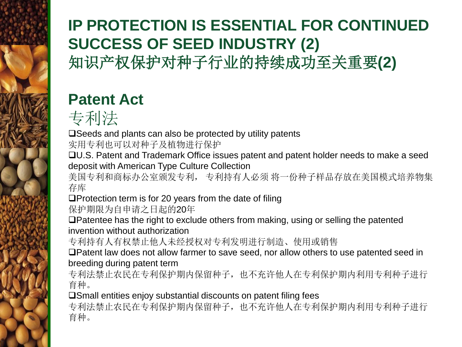#### **IP PROTECTION IS ESSENTIAL FOR CONTINUED SUCCESS OF SEED INDUSTRY (2)** 知识产权保护对种子行业的持续成功至关重要**(2)**

### **Patent Act**



□Seeds and plants can also be protected by utility patents

实用专利也可以对种子及植物进行保护

U.S. Patent and Trademark Office issues patent and patent holder needs to make a seed deposit with American Type Culture Collection

美国专利和商标办公室颁发专利, 专利持有人必须 将一份种子样品存放在美国模式培养物集 存库

 $\square$ Protection term is for 20 years from the date of filing

保护期限为自申请之日起的20年

Patentee has the right to exclude others from making, using or selling the patented invention without authorization

专利持有人有权禁止他人未经授权对专利发明进行制造、使用或销售

Patent law does not allow farmer to save seed, nor allow others to use patented seed in breeding during patent term

专利法禁止农民在专利保护期内保留种子,也不充许他人在专利保护期内利用专利种子进行 育种。

Small entities enjoy substantial discounts on patent filing fees

专利法禁止农民在专利保护期内保留种子,也不充许他人在专利保护期内利用专利种子进行 育种。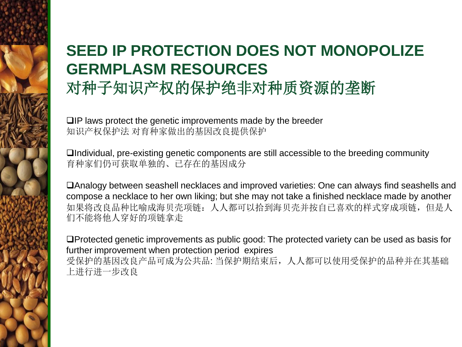#### **SEED IP PROTECTION DOES NOT MONOPOLIZE GERMPLASM RESOURCES** 对种子知识产权的保护绝非对种质资源的垄断

 $\Box$  IP laws protect the genetic improvements made by the breeder 知识产权保护法 对育种家做出的基因改良提供保护

Individual, pre-existing genetic components are still accessible to the breeding community 育种家们仍可获取单独的、已存在的基因成分

Analogy between seashell necklaces and improved varieties: One can always find seashells and compose a necklace to her own liking; but she may not take a finished necklace made by another 如果将改良品种比喻成海贝壳项链:人人都可以拾到海贝壳并按自己喜欢的样式穿成项链,但是人 们不能将他人穿好的项链拿走

Protected genetic improvements as public good: The protected variety can be used as basis for further improvement when protection period expires 受保护的基因改良产品可成为公共品: 当保护期结束后,人人都可以使用受保护的品种并在其基础 上进行进一步改良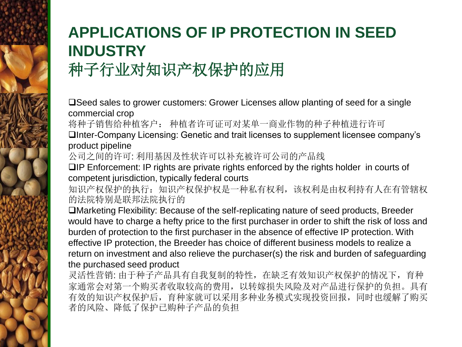## **APPLICATIONS OF IP PROTECTION IN SEED INDUSTRY** 种子行业对知识产权保护的应用

Seed sales to grower customers: Grower Licenses allow planting of seed for a single commercial crop

将种子销售给种植客户: 种植者许可证可对某单一商业作物的种子种植进行许可

Inter-Company Licensing: Genetic and trait licenses to supplement licensee company's product pipeline

公司之间的许可: 利用基因及性状许可以补充被许可公司的产品线

 $\Box$  IP Enforcement: IP rights are private rights enforced by the rights holder in courts of competent jurisdiction, typically federal courts

知识产权保护的执行: 知识产权保护权是一种私有权利, 该权利是由权利持有人在有管辖权 的法院特别是联邦法院执行的

Marketing Flexibility: Because of the self-replicating nature of seed products, Breeder would have to charge a hefty price to the first purchaser in order to shift the risk of loss and burden of protection to the first purchaser in the absence of effective IP protection. With effective IP protection, the Breeder has choice of different business models to realize a return on investment and also relieve the purchaser(s) the risk and burden of safeguarding the purchased seed product

灵活性营销: 由于种子产品具有自我复制的特性,在缺乏有效知识产权保护的情况下,育种 家通常会对第一个购买者收取较高的费用,以转嫁损失风险及对产品进行保护的负担。具有 有效的知识产权保护后,育种家就可以采用多种业务模式实现投资回报,同时也缓解了购买 者的风险、降低了保护已购种子产品的负担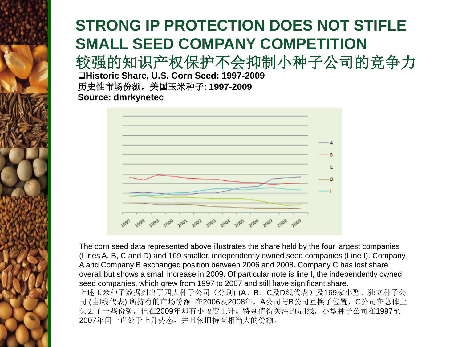### **STRONG IP PROTECTION DOES NOT STIFLE SMALL SEED COMPANY COMPETITION**

较强的知识产权保护不会抑制小种子公司的竞争力

**Historic Share, U.S. Corn Seed: 1997-2009** 历史性市场份额,美国玉米种子**: 1997-2009 Source: dmrkynetec**



The corn seed data represented above illustrates the share held by the four largest companies (Lines A, B, C and D) and 169 smaller, independently owned seed companies (Line I). Company A and Company B exchanged position between 2006 and 2008. Company C has lost share overall but shows a small increase in 2009. Of particular note is line I, the independently owned seed companies, which grew from 1997 to 2007 and still have significant share. 上述玉米种子数据列出了四大种子公司(分别由A、B、C及D线代表)及169家小型、独立种子公 司(由I线代表) 所持有的市场份额. 在2006及2008年, A公司与B公司互换了位置, C公司在总体上 失去了一些份额,但在2009年却有小幅度上升。特别值得关注的是I线,小型种子公司在1997至 2007年间一直处于上升势态,并且依旧持有相当大的份额。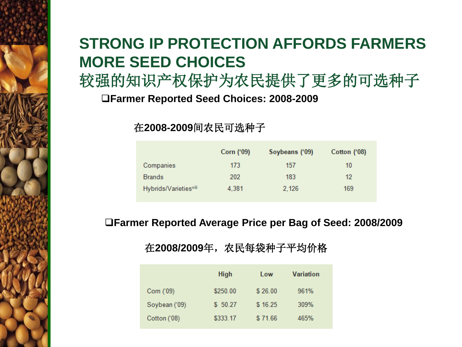#### **STRONG IP PROTECTION AFFORDS FARMERS MORE SEED CHOICES**

较强的知识产权保护为农民提供了更多的可选种子

**Farmer Reported Seed Choices: 2008-2009**

在**2008-2009**间农民可选种子

|                                   | Corn ('09) | Soybeans ('09) | Cotton ('08) |
|-----------------------------------|------------|----------------|--------------|
| Companies                         | 173        | 157            | 10           |
| <b>Brands</b>                     | 202        | 183            | 12           |
| Hybrids/Varieties <sup>viii</sup> | 4,381      | 2.126          | 169          |

**Farmer Reported Average Price per Bag of Seed: 2008/2009**

#### 在**2008/2009**年,农民每袋种子平均价格

|               | <b>High</b> | Low     | Variation |
|---------------|-------------|---------|-----------|
| Corn ('09)    | \$250.00    | \$26.00 | 961%      |
| Soybean ('09) | \$50.27     | \$16.25 | 309%      |
| Cotton ('08)  | \$333.17    | \$71.66 | 465%      |